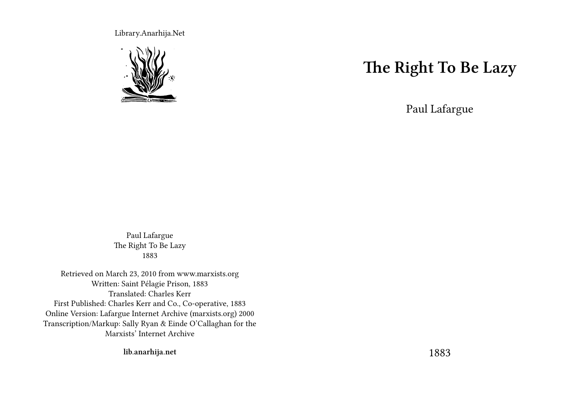Library.Anarhija.Net



### **The Right To Be Lazy**

Paul Lafargue

Paul Lafargue The Right To Be Lazy 1883

Retrieved on March 23, 2010 from www.marxists.org Written: Saint Pélagie Prison, 1883 Translated: Charles Kerr First Published: Charles Kerr and Co., Co-operative, 1883 Online Version: Lafargue Internet Archive (marxists.org) 2000 Transcription/Markup: Sally Ryan & Einde O'Callaghan for the Marxists' Internet Archive

**lib.anarhija.net**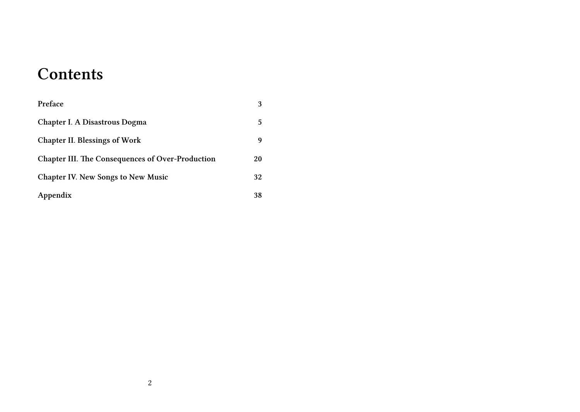#### **Contents**

| Preface                                                 | 3  |
|---------------------------------------------------------|----|
| Chapter I. A Disastrous Dogma                           | 5  |
| <b>Chapter II. Blessings of Work</b>                    | 9  |
| <b>Chapter III. The Consequences of Over-Production</b> | 20 |
| <b>Chapter IV. New Songs to New Music</b>               | 32 |
| Appendix                                                | 38 |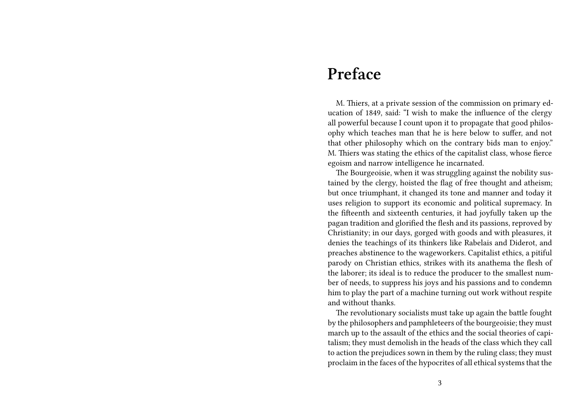#### **Preface**

M. Thiers, at a private session of the commission on primary education of 1849, said: "I wish to make the influence of the clergy all powerful because I count upon it to propagate that good philosophy which teaches man that he is here below to suffer, and not that other philosophy which on the contrary bids man to enjoy." M. Thiers was stating the ethics of the capitalist class, whose fierce egoism and narrow intelligence he incarnated.

The Bourgeoisie, when it was struggling against the nobility sustained by the clergy, hoisted the flag of free thought and atheism; but once triumphant, it changed its tone and manner and today it uses religion to support its economic and political supremacy. In the fifteenth and sixteenth centuries, it had joyfully taken up the pagan tradition and glorified the flesh and its passions, reproved by Christianity; in our days, gorged with goods and with pleasures, it denies the teachings of its thinkers like Rabelais and Diderot, and preaches abstinence to the wageworkers. Capitalist ethics, a pitiful parody on Christian ethics, strikes with its anathema the flesh of the laborer; its ideal is to reduce the producer to the smallest number of needs, to suppress his joys and his passions and to condemn him to play the part of a machine turning out work without respite and without thanks.

The revolutionary socialists must take up again the battle fought by the philosophers and pamphleteers of the bourgeoisie; they must march up to the assault of the ethics and the social theories of capitalism; they must demolish in the heads of the class which they call to action the prejudices sown in them by the ruling class; they must proclaim in the faces of the hypocrites of all ethical systems that the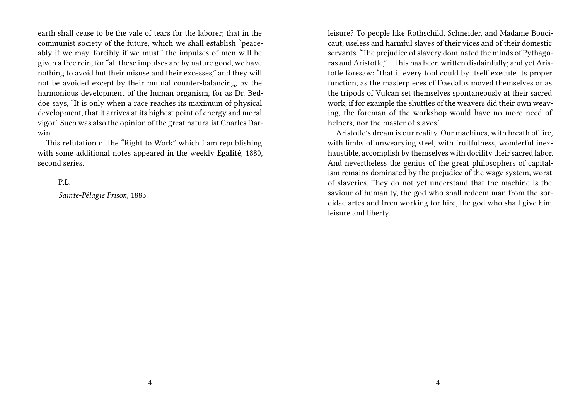earth shall cease to be the vale of tears for the laborer; that in the communist society of the future, which we shall establish "peaceably if we may, forcibly if we must," the impulses of men will be given a free rein, for "all these impulses are by nature good, we have nothing to avoid but their misuse and their excesses," and they will not be avoided except by their mutual counter-balancing, by the harmonious development of the human organism, for as Dr. Beddoe says, "It is only when a race reaches its maximum of physical development, that it arrives at its highest point of energy and moral vigor." Such was also the opinion of the great naturalist Charles Darwin.

This refutation of the "Right to Work" which I am republishing with some additional notes appeared in the weekly **Egalité**, 1880, second series.

P.L.

*Sainte-Pélagie Prison,* 1883.

leisure? To people like Rothschild, Schneider, and Madame Boucicaut, useless and harmful slaves of their vices and of their domestic servants. "The prejudice of slavery dominated the minds of Pythagoras and Aristotle," — this has been written disdainfully; and yet Aristotle foresaw: "that if every tool could by itself execute its proper function, as the masterpieces of Daedalus moved themselves or as the tripods of Vulcan set themselves spontaneously at their sacred work; if for example the shuttles of the weavers did their own weaving, the foreman of the workshop would have no more need of helpers, nor the master of slaves."

Aristotle's dream is our reality. Our machines, with breath of fire, with limbs of unwearying steel, with fruitfulness, wonderful inexhaustible, accomplish by themselves with docility their sacred labor. And nevertheless the genius of the great philosophers of capitalism remains dominated by the prejudice of the wage system, worst of slaveries. They do not yet understand that the machine is the saviour of humanity, the god who shall redeem man from the sordidae artes and from working for hire, the god who shall give him leisure and liberty.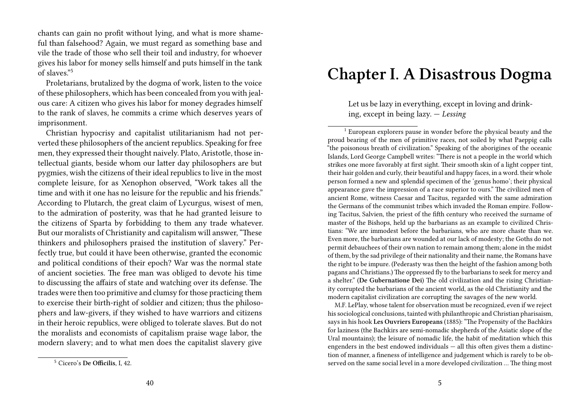chants can gain no profit without lying, and what is more shameful than falsehood? Again, we must regard as something base and vile the trade of those who sell their toil and industry, for whoever gives his labor for money sells himself and puts himself in the tank of slaves."<sup>5</sup>

Proletarians, brutalized by the dogma of work, listen to the voice of these philosophers, which has been concealed from you with jealous care: A citizen who gives his labor for money degrades himself to the rank of slaves, he commits a crime which deserves years of imprisonment.

Christian hypocrisy and capitalist utilitarianism had not perverted these philosophers of the ancient republics. Speaking for free men, they expressed their thought naively. Plato, Aristotle, those intellectual giants, beside whom our latter day philosophers are but pygmies, wish the citizens of their ideal republics to live in the most complete leisure, for as Xenophon observed, "Work takes all the time and with it one has no leisure for the republic and his friends." According to Plutarch, the great claim of Lycurgus, wisest of men, to the admiration of posterity, was that he had granted leisure to the citizens of Sparta by forbidding to them any trade whatever. But our moralists of Christianity and capitalism will answer, "These thinkers and philosophers praised the institution of slavery." Perfectly true, but could it have been otherwise, granted the economic and political conditions of their epoch? War was the normal state of ancient societies. The free man was obliged to devote his time to discussing the affairs of state and watching over its defense. The trades were then too primitive and clumsy for those practicing them to exercise their birth-right of soldier and citizen; thus the philosophers and law-givers, if they wished to have warriors and citizens in their heroic republics, were obliged to tolerate slaves. But do not the moralists and economists of capitalism praise wage labor, the modern slavery; and to what men does the capitalist slavery give

#### **Chapter I. A Disastrous Dogma**

Let us be lazy in everything, except in loving and drinking, except in being lazy. — *Lessing*

<sup>1</sup> European explorers pause in wonder before the physical beauty and the proud bearing of the men of primitive races, not soiled by what Paeppig calls "the poisonous breath of civilization." Speaking of the aborigines of the oceanic Islands, Lord George Campbell writes: "There is not a people in the world which strikes one more favorably at first sight. Their smooth skin of a light copper tint, their hair golden and curly, their beautiful and happy faces, in a word. their whole person formed a new and splendid specimen of the 'genus homo'; their physical appearance gave the impression of a race superior to ours." The civilized men of ancient Rome, witness Caesar and Tacitus, regarded with the same admiration the Germans of the communist tribes which invaded the Roman empire. Following Tacitus, Salvien, the priest of the fifth century who received the surname of master of the Bishops, held up the barbarians as an example to civilized Christians: "We are immodest before the barbarians, who are more chaste than we. Even more, the barbarians are wounded at our lack of modesty; the Goths do not permit debauchees of their own nation to remain among them; alone in the midst of them, by the sad privilege of their nationality and their name, the Romans have the right to be impure. (Pederasty was then the height of the fashion among both pagans and Christians.) The oppressed fly to the barbarians to seek for mercy and a shelter." (**De Gubernatione Dei**) The old civilization and the rising Christianity corrupted the barbarians of the ancient world, as the old Christianity and the modern capitalist civilization are corrupting the savages of the new world.

M.F. LePlay, whose talent for observation must be recognized, even if we reject his sociological conclusions, tainted with philanthropic and Christian pharisaism, says in his hook **Les Ouvriers Europeans** (1885): "The Propensity of the Bachkirs for laziness (the Bachkirs are semi-nomadic shepherds of the Asiatic slope of the Ural mountains); the leisure of nomadic life, the habit of meditation which this engenders in the best endowed individuals — all this often gives them a distinction of manner, a fineness of intelligence and judgement which is rarely to be observed on the same social level in a more developed civilization … The thing most

<sup>5</sup> Cicero's **De Officilis**, I, 42.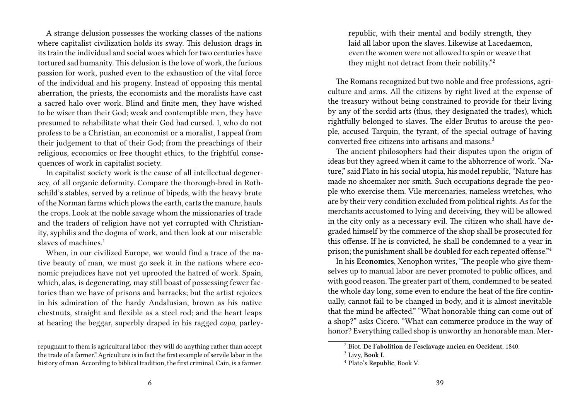A strange delusion possesses the working classes of the nations where capitalist civilization holds its sway. This delusion drags in its train the individual and social woes which for two centuries have tortured sad humanity. This delusion is the love of work, the furious passion for work, pushed even to the exhaustion of the vital force of the individual and his progeny. Instead of opposing this mental aberration, the priests, the economists and the moralists have cast a sacred halo over work. Blind and finite men, they have wished to be wiser than their God; weak and contemptible men, they have presumed to rehabilitate what their God had cursed. I, who do not profess to be a Christian, an economist or a moralist, I appeal from their judgement to that of their God; from the preachings of their religious, economics or free thought ethics, to the frightful consequences of work in capitalist society.

In capitalist society work is the cause of all intellectual degeneracy, of all organic deformity. Compare the thorough-bred in Rothschild's stables, served by a retinue of bipeds, with the heavy brute of the Norman farms which plows the earth, carts the manure, hauls the crops. Look at the noble savage whom the missionaries of trade and the traders of religion have not yet corrupted with Christianity, syphilis and the dogma of work, and then look at our miserable slaves of machines.<sup>1</sup>

When, in our civilized Europe, we would find a trace of the native beauty of man, we must go seek it in the nations where economic prejudices have not yet uprooted the hatred of work. Spain, which, alas, is degenerating, may still boast of possessing fewer factories than we have of prisons and barracks; but the artist rejoices in his admiration of the hardy Andalusian, brown as his native chestnuts, straight and flexible as a steel rod; and the heart leaps at hearing the beggar, superbly draped in his ragged *capa*, parleyrepublic, with their mental and bodily strength, they laid all labor upon the slaves. Likewise at Lacedaemon, even the women were not allowed to spin or weave that they might not detract from their nobility."<sup>2</sup>

The Romans recognized but two noble and free professions, agriculture and arms. All the citizens by right lived at the expense of the treasury without being constrained to provide for their living by any of the sordid arts (thus, they designated the trades), which rightfully belonged to slaves. The elder Brutus to arouse the people, accused Tarquin, the tyrant, of the special outrage of having converted free citizens into artisans and masons.<sup>3</sup>

The ancient philosophers had their disputes upon the origin of ideas but they agreed when it came to the abhorrence of work. "Nature," said Plato in his social utopia, his model republic, "Nature has made no shoemaker nor smith. Such occupations degrade the people who exercise them. Vile mercenaries, nameless wretches, who are by their very condition excluded from political rights. As for the merchants accustomed to lying and deceiving, they will be allowed in the city only as a necessary evil. The citizen who shall have degraded himself by the commerce of the shop shall be prosecuted for this offense. If he is convicted, he shall be condemned to a year in prison; the punishment shall be doubled for each repeated offense."<sup>4</sup>

In his **Economics**, Xenophon writes, "The people who give themselves up to manual labor are never promoted to public offices, and with good reason. The greater part of them, condemned to be seated the whole day long, some even to endure the heat of the fire continually, cannot fail to be changed in body, and it is almost inevitable that the mind be affected." "What honorable thing can come out of a shop?" asks Cicero. "What can commerce produce in the way of honor? Everything called shop is unworthy an honorable man. Mer-

repugnant to them is agricultural labor: they will do anything rather than accept the trade of a farmer." Agriculture is in fact the first example of servile labor in the history of man. According to biblical tradition, the first criminal, Cain, is a farmer.

<sup>2</sup> Biot. **De l'abolition de l'esclavage ancien en Occident**, 1840.

<sup>3</sup> Livy, **Book I**.

<sup>4</sup> Plato's **Republic**, Book V.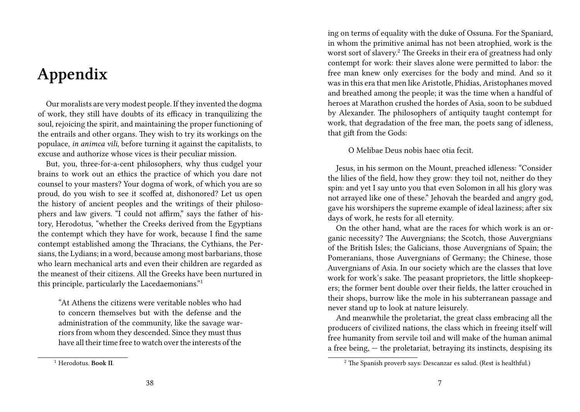# **Appendix**

Our moralists are very modest people. If they invented the dogma of work, they still have doubts of its efficacy in tranquilizing the soul, rejoicing the spirit, and maintaining the proper functioning of the entrails and other organs. They wish to try its workings on the populace, *in animca vili*, before turning it against the capitalists, to excuse and authorize whose vices is their peculiar mission.

But, you, three-for-a-cent philosophers, why thus cudgel your brains to work out an ethics the practice of which you dare not counsel to your masters? Your dogma of work, of which you are so proud, do you wish to see it scoffed at, dishonored? Let us open the history of ancient peoples and the writings of their philosophers and law givers. "I could not affirm," says the father of history, Herodotus, "whether the Creeks derived from the Egyptians the contempt which they have for work, because I find the same contempt established among the Thracians, the Cythians, the Persians, the Lydians; in a word, because among most barbarians, those who learn mechanical arts and even their children are regarded as the meanest of their citizens. All the Greeks have been nurtured in this principle, particularly the Lacedaemonians."<sup>1</sup>

"At Athens the citizens were veritable nobles who had to concern themselves but with the defense and the administration of the community, like the savage warriors from whom they descended. Since they must thus have all their time free to watch over the interests of the

<sup>1</sup> Herodotus. **Book II**.

ing on terms of equality with the duke of Ossuna. For the Spaniard, in whom the primitive animal has not been atrophied, work is the worst sort of slavery.<sup>2</sup> The Greeks in their era of greatness had only contempt for work: their slaves alone were permitted to labor: the free man knew only exercises for the body and mind. And so it was in this era that men like Aristotle, Phidias, Aristophanes moved and breathed among the people; it was the time when a handful of heroes at Marathon crushed the hordes of Asia, soon to be subdued by Alexander. The philosophers of antiquity taught contempt for work, that degradation of the free man, the poets sang of idleness, that gift from the Gods:

#### O Melibae Deus nobis haec otia fecit.

Jesus, in his sermon on the Mount, preached idleness: "Consider the lilies of the field, how they grow: they toil not, neither do they spin: and yet I say unto you that even Solomon in all his glory was not arrayed like one of these." Jehovah the bearded and angry god, gave his worshipers the supreme example of ideal laziness; after six days of work, he rests for all eternity.

On the other hand, what are the races for which work is an organic necessity? The Auvergnians; the Scotch, those Auvergnians of the British Isles; the Galicians, those Auvergnians of Spain; the Pomeranians, those Auvergnians of Germany; the Chinese, those Auvergnians of Asia. In our society which are the classes that love work for work's sake. The peasant proprietors, the little shopkeepers; the former bent double over their fields, the latter crouched in their shops, burrow like the mole in his subterranean passage and never stand up to look at nature leisurely.

And meanwhile the proletariat, the great class embracing all the producers of civilized nations, the class which in freeing itself will free humanity from servile toil and will make of the human animal a free being, — the proletariat, betraying its instincts, despising its

<sup>2</sup> The Spanish proverb says: Descanzar es salud. (Rest is healthful.)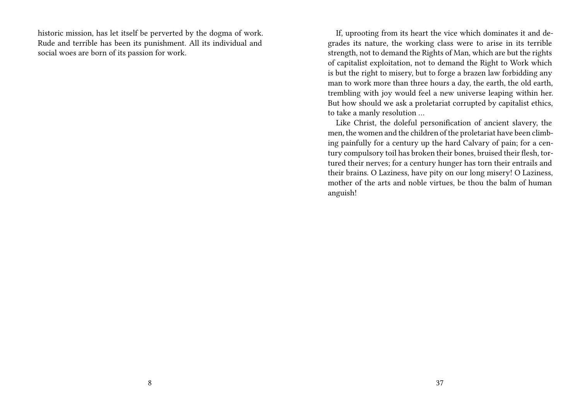historic mission, has let itself be perverted by the dogma of work. Rude and terrible has been its punishment. All its individual and social woes are born of its passion for work.

If, uprooting from its heart the vice which dominates it and degrades its nature, the working class were to arise in its terrible strength, not to demand the Rights of Man, which are but the rights of capitalist exploitation, not to demand the Right to Work which is but the right to misery, but to forge a brazen law forbidding any man to work more than three hours a day, the earth, the old earth, trembling with joy would feel a new universe leaping within her. But how should we ask a proletariat corrupted by capitalist ethics, to take a manly resolution …

Like Christ, the doleful personification of ancient slavery, the men, the women and the children of the proletariat have been climbing painfully for a century up the hard Calvary of pain; for a century compulsory toil has broken their bones, bruised their flesh, tortured their nerves; for a century hunger has torn their entrails and their brains. O Laziness, have pity on our long misery! O Laziness, mother of the arts and noble virtues, be thou the balm of human anguish!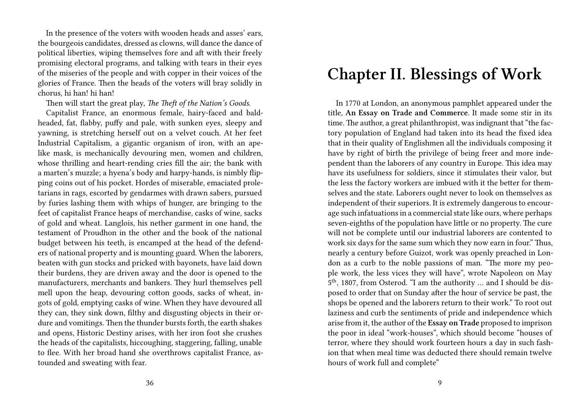In the presence of the voters with wooden heads and asses' ears, the bourgeois candidates, dressed as clowns, will dance the dance of political liberties, wiping themselves fore and aft with their freely promising electoral programs, and talking with tears in their eyes of the miseries of the people and with copper in their voices of the glories of France. Then the heads of the voters will bray solidly in chorus, hi han! hi han!

Then will start the great play, *The Theft of the Nation's Goods*.

Capitalist France, an enormous female, hairy-faced and baldheaded, fat, flabby, puffy and pale, with sunken eyes, sleepy and yawning, is stretching herself out on a velvet couch. At her feet Industrial Capitalism, a gigantic organism of iron, with an apelike mask, is mechanically devouring men, women and children, whose thrilling and heart-rending cries fill the air; the bank with a marten's muzzle; a hyena's body and harpy-hands, is nimbly flipping coins out of his pocket. Hordes of miserable, emaciated proletarians in rags, escorted by gendarmes with drawn sabers, pursued by furies lashing them with whips of hunger, are bringing to the feet of capitalist France heaps of merchandise, casks of wine, sacks of gold and wheat. Langlois, his nether garment in one hand, the testament of Proudhon in the other and the book of the national budget between his teeth, is encamped at the head of the defenders of national property and is mounting guard. When the laborers, beaten with gun stocks and pricked with bayonets, have laid down their burdens, they are driven away and the door is opened to the manufacturers, merchants and bankers. They hurl themselves pell mell upon the heap, devouring cotton goods, sacks of wheat, ingots of gold, emptying casks of wine. When they have devoured all they can, they sink down, filthy and disgusting objects in their ordure and vomitings. Then the thunder bursts forth, the earth shakes and opens, Historic Destiny arises, with her iron foot she crushes the heads of the capitalists, hiccoughing, staggering, falling, unable to flee. With her broad hand she overthrows capitalist France, astounded and sweating with fear.

# **Chapter II. Blessings of Work**

In 1770 at London, an anonymous pamphlet appeared under the title, **An Essay on Trade and Commerce**. It made some stir in its time. The author, a great philanthropist, was indignant that "the factory population of England had taken into its head the fixed idea that in their quality of Englishmen all the individuals composing it have by right of birth the privilege of being freer and more independent than the laborers of any country in Europe. This idea may have its usefulness for soldiers, since it stimulates their valor, but the less the factory workers are imbued with it the better for themselves and the state. Laborers ought never to look on themselves as independent of their superiors. It is extremely dangerous to encourage such infatuations in a commercial state like ours, where perhaps seven-eighths of the population have little or no property. The cure will not be complete until our industrial laborers are contented to work six days for the same sum which they now earn in four." Thus, nearly a century before Guizot, work was openly preached in London as a curb to the noble passions of man. "The more my people work, the less vices they will have", wrote Napoleon on May 5 th, 1807, from Osterod. "I am the authority … and I should be disposed to order that on Sunday after the hour of service be past, the shops be opened and the laborers return to their work." To root out laziness and curb the sentiments of pride and independence which arise from it, the author of the **Essay on Trade** proposed to imprison the poor in ideal "work-houses", which should become "houses of terror, where they should work fourteen hours a day in such fashion that when meal time was deducted there should remain twelve hours of work full and complete"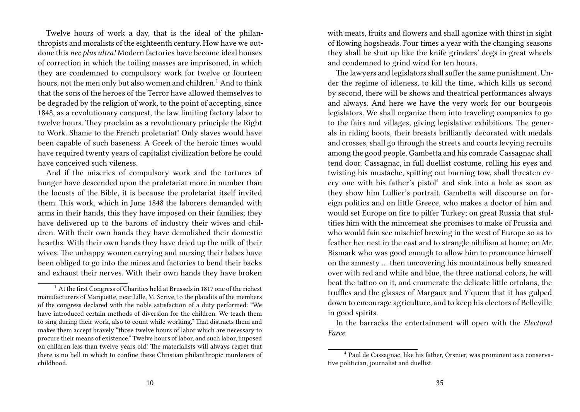Twelve hours of work a day, that is the ideal of the philanthropists and moralists of the eighteenth century. How have we outdone this *nec plus ultra!* Modern factories have become ideal houses of correction in which the toiling masses are imprisoned, in which they are condemned to compulsory work for twelve or fourteen hours, not the men only but also women and children.<sup>1</sup> And to think that the sons of the heroes of the Terror have allowed themselves to be degraded by the religion of work, to the point of accepting, since 1848, as a revolutionary conquest, the law limiting factory labor to twelve hours. They proclaim as a revolutionary principle the Right to Work. Shame to the French proletariat! Only slaves would have been capable of such baseness. A Greek of the heroic times would have required twenty years of capitalist civilization before he could have conceived such vileness.

And if the miseries of compulsory work and the tortures of hunger have descended upon the proletariat more in number than the locusts of the Bible, it is because the proletariat itself invited them. This work, which in June 1848 the laborers demanded with arms in their hands, this they have imposed on their families; they have delivered up to the barons of industry their wives and children. With their own hands they have demolished their domestic hearths. With their own hands they have dried up the milk of their wives. The unhappy women carrying and nursing their babes have been obliged to go into the mines and factories to bend their backs and exhaust their nerves. With their own hands they have broken

with meats, fruits and flowers and shall agonize with thirst in sight of flowing hogsheads. Four times a year with the changing seasons they shall be shut up like the knife grinders' dogs in great wheels and condemned to grind wind for ten hours.

The lawyers and legislators shall suffer the same punishment. Under the regime of idleness, to kill the time, which kills us second by second, there will be shows and theatrical performances always and always. And here we have the very work for our bourgeois legislators. We shall organize them into traveling companies to go to the fairs and villages, giving legislative exhibitions. The generals in riding boots, their breasts brilliantly decorated with medals and crosses, shall go through the streets and courts levying recruits among the good people. Gambetta and his comrade Cassagnac shall tend door. Cassagnac, in full duellist costume, rolling his eyes and twisting his mustache, spitting out burning tow, shall threaten every one with his father's pistol<sup>4</sup> and sink into a hole as soon as they show him Lullier's portrait. Gambetta will discourse on foreign politics and on little Greece, who makes a doctor of him and would set Europe on fire to pilfer Turkey; on great Russia that stultifies him with the mincemeat she promises to make of Prussia and who would fain see mischief brewing in the west of Europe so as to feather her nest in the east and to strangle nihilism at home; on Mr. Bismark who was good enough to allow him to pronounce himself on the amnesty … then uncovering his mountainous belly smeared over with red and white and blue, the three national colors, he will beat the tattoo on it, and enumerate the delicate little ortolans, the truffles and the glasses of Margaux and Y'quem that it has gulped down to encourage agriculture, and to keep his electors of Belleville in good spirits.

In the barracks the entertainment will open with the *Electoral Farce*.

<sup>1</sup> At the first Congress of Charities held at Brussels in 1817 one of the richest manufacturers of Marquette, near Lille, M. Scrive, to the plaudits of the members of the congress declared with the noble satisfaction of a duty performed: "We have introduced certain methods of diversion for the children. We teach them to sing during their work, also to count while working." That distracts them and makes them accept bravely "those twelve hours of labor which are necessary to procure their means of existence." Twelve hours of labor, and such labor, imposed on children less than twelve years old! The materialists will always regret that there is no hell in which to confine these Christian philanthropic murderers of childhood.

<sup>4</sup> Paul de Cassagnac, like his father, Orsnier, was prominent as a conservative politician, journalist and duellist.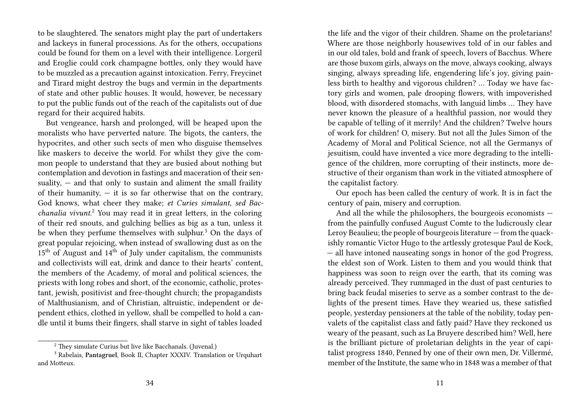to be slaughtered. The senators might play the part of undertakers and lackeys in funeral processions. As for the others, occupations could be found for them on a level with their intelligence. Lorgeril and Eroglie could cork champagne bottles, only they would have to be muzzled as a precaution against intoxication. Ferry, Freycinet and Tirard might destroy the bugs and vermin in the departments of state and other public houses. It would, however, be necessary to put the public funds out of the reach of the capitalists out of due regard for their acquired habits.

But vengeance, harsh and prolonged, will be heaped upon the moralists who have perverted nature. The bigots, the canters, the hypocrites, and other such sects of men who disguise themselves like maskers to deceive the world. For whilst they give the common people to understand that they are busied about nothing but contemplation and devotion in fastings and maceration of their sensuality,  $-$  and that only to sustain and aliment the small fraility of their humanity,  $-$  it is so far otherwise that on the contrary, God knows, what cheer they make; *et Curies simulant, sed Bacchanalia vivunt.*<sup>2</sup> You may read it in great letters, in the coloring of their red snouts, and gulching bellies as big as a tun, unless it be when they perfume themselves with sulphur.<sup>3</sup> On the days of great popular rejoicing, when instead of swallowing dust as on the  $15<sup>th</sup>$  of August and  $14<sup>th</sup>$  of July under capitalism, the communists and collectivists will eat, drink and dance to their hearts' content, the members of the Academy, of moral and political sciences, the priests with long robes and short, of the economic, catholic, protestant, jewish, positivist and free-thought church; the propagandists of Malthusianism, and of Christian, altruistic, independent or dependent ethics, clothed in yellow, shall be compelled to hold a candle until it bums their fingers, shall starve in sight of tables loaded

the life and the vigor of their children. Shame on the proletarians! Where are those neighborly housewives told of in our fables and in our old tales, bold and frank of speech, lovers of Bacchus. Where are those buxom girls, always on the move, always cooking, always singing, always spreading life, engendering life's joy, giving painless birth to healthy and vigorous children? … Today we have factory girls and women, pale drooping flowers, with impoverished blood, with disordered stomachs, with languid limbs … They have never known the pleasure of a healthful passion, nor would they be capable of telling of it merrily! And the children? Twelve hours of work for children! O, misery. But not all the Jules Simon of the Academy of Moral and Political Science, not all the Germanys of jesuitism, could have invented a vice more degrading to the intelligence of the children, more corrupting of their instincts, more destructive of their organism than work in the vitiated atmosphere of the capitalist factory.

Our epoch has been called the century of work. It is in fact the century of pain, misery and corruption.

And all the while the philosophers, the bourgeois economists from the painfully confused August Comte to the ludicrously clear Leroy Beaulieu; the people of bourgeois literature — from the quackishly romantic Victor Hugo to the artlessly grotesque Paul de Kock, — all have intoned nauseating songs in honor of the god Progress, the eldest son of Work. Listen to them and you would think that happiness was soon to reign over the earth, that its coming was already perceived. They rummaged in the dust of past centuries to bring back feudal miseries to serve as a somber contrast to the delights of the present times. Have they wearied us, these satisfied people, yesterday pensioners at the table of the nobility, today penvalets of the capitalist class and fatly paid? Have they reckoned us weary of the peasant, such as La Bruyere described him? Well, here is the brilliant picture of proletarian delights in the year of capitalist progress 1840, Penned by one of their own men, Dr. Villermé, member of the Institute, the same who in 1848 was a member of that

<sup>2</sup> They simulate Curius but live like Bacchanals. (Juvenal.)

<sup>3</sup> Rabelais, **Pantagruel**, Book II, Chapter XXXIV. Translation or Urquhart and Motteux.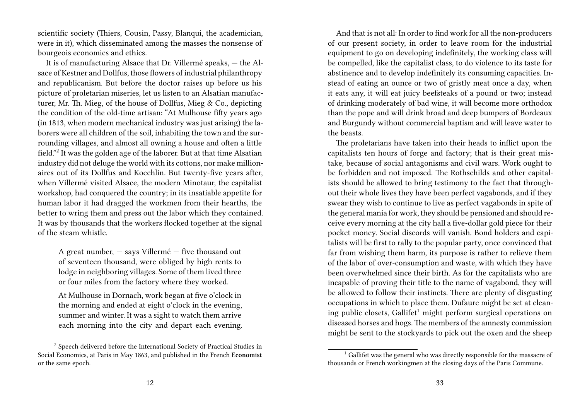scientific society (Thiers, Cousin, Passy, Blanqui, the academician, were in it), which disseminated among the masses the nonsense of bourgeois economics and ethics.

It is of manufacturing Alsace that Dr. Villermé speaks, — the Alsace of Kestner and Dollfus, those flowers of industrial philanthropy and republicanism. But before the doctor raises up before us his picture of proletarian miseries, let us listen to an Alsatian manufacturer, Mr. Th. Mieg, of the house of Dollfus, Mieg & Co., depicting the condition of the old-time artisan: "At Mulhouse fifty years ago (in 1813, when modern mechanical industry was just arising) the laborers were all children of the soil, inhabiting the town and the surrounding villages, and almost all owning a house and often a little field."<sup>2</sup> It was the golden age of the laborer. But at that time Alsatian industry did not deluge the world with its cottons, nor make millionaires out of its Dollfus and Koechlin. But twenty-five years after, when Villermé visited Alsace, the modern Minotaur, the capitalist workshop, had conquered the country; in its insatiable appetite for human labor it had dragged the workmen from their hearths, the better to wring them and press out the labor which they contained. It was by thousands that the workers flocked together at the signal of the steam whistle.

A great number, — says Villermé — five thousand out of seventeen thousand, were obliged by high rents to lodge in neighboring villages. Some of them lived three or four miles from the factory where they worked.

At Mulhouse in Dornach, work began at five o'clock in the morning and ended at eight o'clock in the evening, summer and winter. It was a sight to watch them arrive each morning into the city and depart each evening.

And that is not all: In order to find work for all the non-producers of our present society, in order to leave room for the industrial equipment to go on developing indefinitely, the working class will be compelled, like the capitalist class, to do violence to its taste for abstinence and to develop indefinitely its consuming capacities. Instead of eating an ounce or two of gristly meat once a day, when it eats any, it will eat juicy beefsteaks of a pound or two; instead of drinking moderately of bad wine, it will become more orthodox than the pope and will drink broad and deep bumpers of Bordeaux and Burgundy without commercial baptism and will leave water to the beasts.

The proletarians have taken into their heads to inflict upon the capitalists ten hours of forge and factory; that is their great mistake, because of social antagonisms and civil wars. Work ought to be forbidden and not imposed. The Rothschilds and other capitalists should be allowed to bring testimony to the fact that throughout their whole lives they have been perfect vagabonds, and if they swear they wish to continue to live as perfect vagabonds in spite of the general mania for work, they should be pensioned and should receive every morning at the city hall a five-dollar gold piece for their pocket money. Social discords will vanish. Bond holders and capitalists will be first to rally to the popular party, once convinced that far from wishing them harm, its purpose is rather to relieve them of the labor of over-consumption and waste, with which they have been overwhelmed since their birth. As for the capitalists who are incapable of proving their title to the name of vagabond, they will be allowed to follow their instincts. There are plenty of disgusting occupations in which to place them. Dufaure might be set at cleaning public closets, Gallifet<sup>1</sup> might perform surgical operations on diseased horses and hogs. The members of the amnesty commission might be sent to the stockyards to pick out the oxen and the sheep

<sup>2</sup> Speech delivered before the International Society of Practical Studies in Social Economics, at Paris in May 1863, and published in the French **Economist** or the same epoch.

<sup>&</sup>lt;sup>1</sup> Gallifet was the general who was directly responsible for the massacre of thousands or French workingmen at the closing days of the Paris Commune.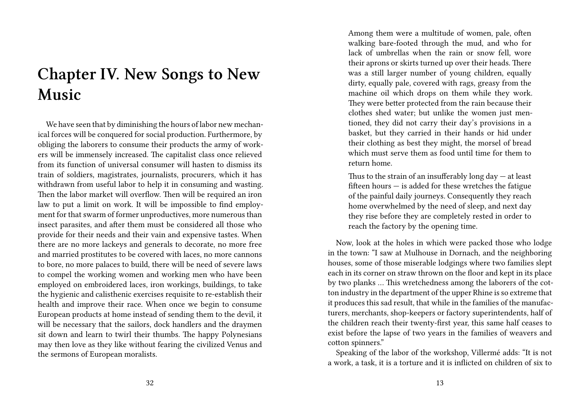# **Chapter IV. New Songs to New Music**

We have seen that by diminishing the hours of labor new mechanical forces will be conquered for social production. Furthermore, by obliging the laborers to consume their products the army of workers will be immensely increased. The capitalist class once relieved from its function of universal consumer will hasten to dismiss its train of soldiers, magistrates, journalists, procurers, which it has withdrawn from useful labor to help it in consuming and wasting. Then the labor market will overflow. Then will be required an iron law to put a limit on work. It will be impossible to find employment for that swarm of former unproductives, more numerous than insect parasites, and after them must be considered all those who provide for their needs and their vain and expensive tastes. When there are no more lackeys and generals to decorate, no more free and married prostitutes to be covered with laces, no more cannons to bore, no more palaces to build, there will be need of severe laws to compel the working women and working men who have been employed on embroidered laces, iron workings, buildings, to take the hygienic and calisthenic exercises requisite to re-establish their health and improve their race. When once we begin to consume European products at home instead of sending them to the devil, it will be necessary that the sailors, dock handlers and the draymen sit down and learn to twirl their thumbs. The happy Polynesians may then love as they like without fearing the civilized Venus and the sermons of European moralists.

Among them were a multitude of women, pale, often walking bare-footed through the mud, and who for lack of umbrellas when the rain or snow fell, wore their aprons or skirts turned up over their heads. There was a still larger number of young children, equally dirty, equally pale, covered with rags, greasy from the machine oil which drops on them while they work. They were better protected from the rain because their clothes shed water; but unlike the women just mentioned, they did not carry their day's provisions in a basket, but they carried in their hands or hid under their clothing as best they might, the morsel of bread which must serve them as food until time for them to return home.

Thus to the strain of an insufferably long day  $-$  at least fifteen hours  $-$  is added for these wretches the fatigue of the painful daily journeys. Consequently they reach home overwhelmed by the need of sleep, and next day they rise before they are completely rested in order to reach the factory by the opening time.

Now, look at the holes in which were packed those who lodge in the town: "I saw at Mulhouse in Dornach, and the neighboring houses, some of those miserable lodgings where two families slept each in its corner on straw thrown on the floor and kept in its place by two planks … This wretchedness among the laborers of the cotton industry in the department of the upper Rhine is so extreme that it produces this sad result, that while in the families of the manufacturers, merchants, shop-keepers or factory superintendents, half of the children reach their twenty-first year, this same half ceases to exist before the lapse of two years in the families of weavers and cotton spinners."

Speaking of the labor of the workshop, Villermé adds: "It is not a work, a task, it is a torture and it is inflicted on children of six to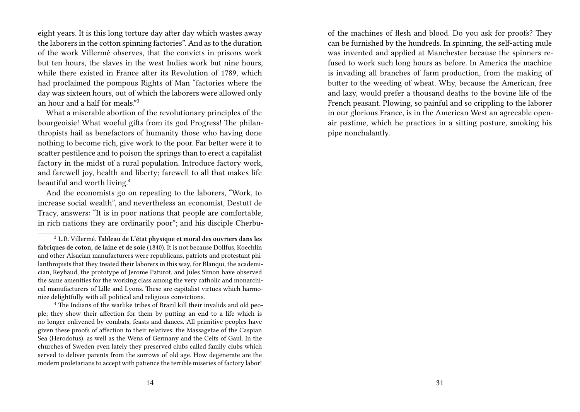eight years. It is this long torture day after day which wastes away the laborers in the cotton spinning factories". And as to the duration of the work Villermé observes, that the convicts in prisons work but ten hours, the slaves in the west Indies work but nine hours, while there existed in France after its Revolution of 1789, which had proclaimed the pompous Rights of Man "factories where the day was sixteen hours, out of which the laborers were allowed only an hour and a half for meals."<sup>3</sup>

What a miserable abortion of the revolutionary principles of the bourgeoisie! What woeful gifts from its god Progress! The philanthropists hail as benefactors of humanity those who having done nothing to become rich, give work to the poor. Far better were it to scatter pestilence and to poison the springs than to erect a capitalist factory in the midst of a rural population. Introduce factory work, and farewell joy, health and liberty; farewell to all that makes life beautiful and worth living.<sup>4</sup>

And the economists go on repeating to the laborers, "Work, to increase social wealth", and nevertheless an economist, Destutt de Tracy, answers: "It is in poor nations that people are comfortable, in rich nations they are ordinarily poor"; and his disciple Cherbuof the machines of flesh and blood. Do you ask for proofs? They can be furnished by the hundreds. In spinning, the self-acting mule was invented and applied at Manchester because the spinners refused to work such long hours as before. In America the machine is invading all branches of farm production, from the making of butter to the weeding of wheat. Why, because the American, free and lazy, would prefer a thousand deaths to the bovine life of the French peasant. Plowing, so painful and so crippling to the laborer in our glorious France, is in the American West an agreeable openair pastime, which he practices in a sitting posture, smoking his pipe nonchalantly.

<sup>3</sup> L.R. Villermé. **Tableau de L'état physique et moral des ouvriers dans les fabriques de coton, de laine et de soie** (1840). It is not because Dollfus, Koechlin and other Alsacian manufacturers were republicans, patriots and protestant philanthropists that they treated their laborers in this way, for Blanqui, the academician, Reybaud, the prototype of Jerome Paturot, and Jules Simon have observed the same amenities for the working class among the very catholic and monarchical manufacturers of Lille and Lyons. These are capitalist virtues which harmonize delightfully with all political and religious convictions.

<sup>4</sup> The Indians of the warlike tribes of Brazil kill their invalids and old people; they show their affection for them by putting an end to a life which is no longer enlivened by combats, feasts and dances. All primitive peoples have given these proofs of affection to their relatives: the Massagetae of the Caspian Sea (Herodotus), as well as the Wens of Germany and the Celts of Gaul. In the churches of Sweden even lately they preserved clubs called family clubs which served to deliver parents from the sorrows of old age. How degenerate are the modern proletarians to accept with patience the terrible miseries of factory labor!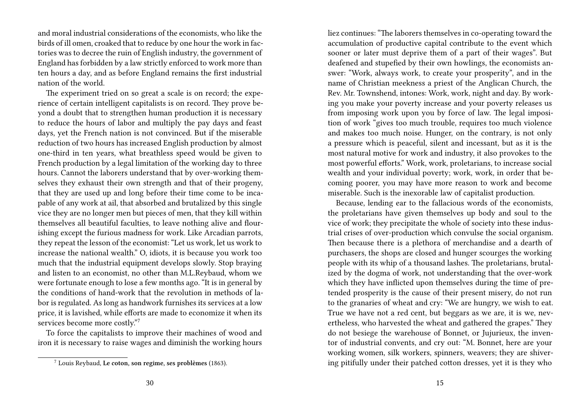and moral industrial considerations of the economists, who like the birds of ill omen, croaked that to reduce by one hour the work in factories was to decree the ruin of English industry, the government of England has forbidden by a law strictly enforced to work more than ten hours a day, and as before England remains the first industrial nation of the world.

The experiment tried on so great a scale is on record; the experience of certain intelligent capitalists is on record. They prove beyond a doubt that to strengthen human production it is necessary to reduce the hours of labor and multiply the pay days and feast days, yet the French nation is not convinced. But if the miserable reduction of two hours has increased English production by almost one-third in ten years, what breathless speed would be given to French production by a legal limitation of the working day to three hours. Cannot the laborers understand that by over-working themselves they exhaust their own strength and that of their progeny, that they are used up and long before their time come to be incapable of any work at ail, that absorbed and brutalized by this single vice they are no longer men but pieces of men, that they kill within themselves all beautiful faculties, to leave nothing alive and flourishing except the furious madness for work. Like Arcadian parrots, they repeat the lesson of the economist: "Let us work, let us work to increase the national wealth." O, idiots, it is because you work too much that the industrial equipment develops slowly. Stop braying and listen to an economist, no other than M.L.Reybaud, whom we were fortunate enough to lose a few months ago. "It is in general by the conditions of hand-work that the revolution in methods of labor is regulated. As long as handwork furnishes its services at a low price, it is lavished, while efforts are made to economize it when its services become more costly."<sup>7</sup>

To force the capitalists to improve their machines of wood and iron it is necessary to raise wages and diminish the working hours

liez continues: "The laborers themselves in co-operating toward the accumulation of productive capital contribute to the event which sooner or later must deprive them of a part of their wages". But deafened and stupefied by their own howlings, the economists answer: "Work, always work, to create your prosperity", and in the name of Christian meekness a priest of the Anglican Church, the Rev. Mr. Townshend, intones: Work, work, night and day. By working you make your poverty increase and your poverty releases us from imposing work upon you by force of law. The legal imposition of work "gives too much trouble, requires too much violence and makes too much noise. Hunger, on the contrary, is not only a pressure which is peaceful, silent and incessant, but as it is the most natural motive for work and industry, it also provokes to the most powerful efforts." Work, work, proletarians, to increase social wealth and your individual poverty; work, work, in order that becoming poorer, you may have more reason to work and become miserable. Such is the inexorable law of capitalist production.

Because, lending ear to the fallacious words of the economists, the proletarians have given themselves up body and soul to the vice of work; they precipitate the whole of society into these industrial crises of over-production which convulse the social organism. Then because there is a plethora of merchandise and a dearth of purchasers, the shops are closed and hunger scourges the working people with its whip of a thousand lashes. The proletarians, brutalized by the dogma of work, not understanding that the over-work which they have inflicted upon themselves during the time of pretended prosperity is the cause of their present misery, do not run to the granaries of wheat and cry: "We are hungry, we wish to eat. True we have not a red cent, but beggars as we are, it is we, nevertheless, who harvested the wheat and gathered the grapes." They do not besiege the warehouse of Bonnet, or Jujurieux, the inventor of industrial convents, and cry out: "M. Bonnet, here are your working women, silk workers, spinners, weavers; they are shivering pitifully under their patched cotton dresses, yet it is they who

<sup>7</sup> Louis Reybaud, **Le coton, son regime, ses problèmes** (1863).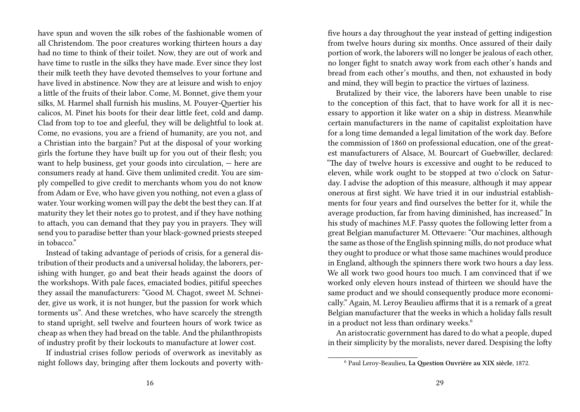have spun and woven the silk robes of the fashionable women of all Christendom. The poor creatures working thirteen hours a day had no time to think of their toilet. Now, they are out of work and have time to rustle in the silks they have made. Ever since they lost their milk teeth they have devoted themselves to your fortune and have lived in abstinence. Now they are at leisure and wish to enjoy a little of the fruits of their labor. Come, M. Bonnet, give them your silks, M. Harmel shall furnish his muslins, M. Pouyer-Quertier his calicos, M. Pinet his boots for their dear little feet, cold and damp. Clad from top to toe and gleeful, they will be delightful to look at. Come, no evasions, you are a friend of humanity, are you not, and a Christian into the bargain? Put at the disposal of your working girls the fortune they have built up for you out of their flesh; you want to help business, get your goods into circulation, — here are consumers ready at hand. Give them unlimited credit. You are simply compelled to give credit to merchants whom you do not know from Adam or Eve, who have given you nothing, not even a glass of water. Your working women will pay the debt the best they can. If at maturity they let their notes go to protest, and if they have nothing to attach, you can demand that they pay you in prayers. They will send you to paradise better than your black-gowned priests steeped in tobacco."

Instead of taking advantage of periods of crisis, for a general distribution of their products and a universal holiday, the laborers, perishing with hunger, go and beat their heads against the doors of the workshops. With pale faces, emaciated bodies, pitiful speeches they assail the manufacturers: "Good M. Chagot, sweet M. Schneider, give us work, it is not hunger, but the passion for work which torments us". And these wretches, who have scarcely the strength to stand upright, sell twelve and fourteen hours of work twice as cheap as when they had bread on the table. And the philanthropists of industry profit by their lockouts to manufacture at lower cost.

If industrial crises follow periods of overwork as inevitably as night follows day, bringing after them lockouts and poverty withfive hours a day throughout the year instead of getting indigestion from twelve hours during six months. Once assured of their daily portion of work, the laborers will no longer be jealous of each other, no longer fight to snatch away work from each other's hands and bread from each other's mouths, and then, not exhausted in body and mind, they will begin to practice the virtues of laziness.

Brutalized by their vice, the laborers have been unable to rise to the conception of this fact, that to have work for all it is necessary to apportion it like water on a ship in distress. Meanwhile certain manufacturers in the name of capitalist exploitation have for a long time demanded a legal limitation of the work day. Before the commission of 1860 on professional education, one of the greatest manufacturers of Alsace, M. Bourcart of Guebwiller, declared: "The day of twelve hours is excessive and ought to be reduced to eleven, while work ought to be stopped at two o'clock on Saturday. I advise the adoption of this measure, although it may appear onerous at first sight. We have tried it in our industrial establishments for four years and find ourselves the better for it, while the average production, far from having diminished, has increased." In his study of machines M.F. Passy quotes the following letter from a great Belgian manufacturer M. Ottevaere: "Our machines, although the same as those of the English spinning mills, do not produce what they ought to produce or what those same machines would produce in England, although the spinners there work two hours a day less. We all work two good hours too much. I am convinced that if we worked only eleven hours instead of thirteen we should have the same product and we should consequently produce more economically." Again, M. Leroy Beaulieu affirms that it is a remark of a great Belgian manufacturer that the weeks in which a holiday falls result in a product not less than ordinary weeks.<sup>6</sup>

An aristocratic government has dared to do what a people, duped in their simplicity by the moralists, never dared. Despising the lofty

<sup>6</sup> Paul Leroy-Beaulieu, **La Question Ouvrière au XIX siècle**, 1872.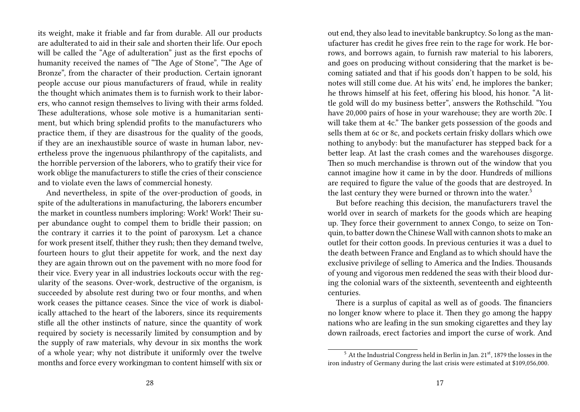its weight, make it friable and far from durable. All our products are adulterated to aid in their sale and shorten their life. Our epoch will be called the "Age of adulteration" just as the first epochs of humanity received the names of "The Age of Stone", "The Age of Bronze", from the character of their production. Certain ignorant people accuse our pious manufacturers of fraud, while in reality the thought which animates them is to furnish work to their laborers, who cannot resign themselves to living with their arms folded. These adulterations, whose sole motive is a humanitarian sentiment, but which bring splendid profits to the manufacturers who practice them, if they are disastrous for the quality of the goods, if they are an inexhaustible source of waste in human labor, nevertheless prove the ingenuous philanthropy of the capitalists, and the horrible perversion of the laborers, who to gratify their vice for work oblige the manufacturers to stifle the cries of their conscience and to violate even the laws of commercial honesty.

And nevertheless, in spite of the over-production of goods, in spite of the adulterations in manufacturing, the laborers encumber the market in countless numbers imploring: Work! Work! Their super abundance ought to compel them to bridle their passion; on the contrary it carries it to the point of paroxysm. Let a chance for work present itself, thither they rush; then they demand twelve, fourteen hours to glut their appetite for work, and the next day they are again thrown out on the pavement with no more food for their vice. Every year in all industries lockouts occur with the regularity of the seasons. Over-work, destructive of the organism, is succeeded by absolute rest during two or four months, and when work ceases the pittance ceases. Since the vice of work is diabolically attached to the heart of the laborers, since its requirements stifle all the other instincts of nature, since the quantity of work required by society is necessarily limited by consumption and by the supply of raw materials, why devour in six months the work of a whole year; why not distribute it uniformly over the twelve months and force every workingman to content himself with six or

out end, they also lead to inevitable bankruptcy. So long as the manufacturer has credit he gives free rein to the rage for work. He borrows, and borrows again, to furnish raw material to his laborers, and goes on producing without considering that the market is becoming satiated and that if his goods don't happen to be sold, his notes will still come due. At his wits' end, he implores the banker; he throws himself at his feet, offering his blood, his honor. "A little gold will do my business better", answers the Rothschild. "You have 20,000 pairs of hose in your warehouse; they are worth 20c. I will take them at 4c." The banker gets possession of the goods and sells them at 6c or 8c, and pockets certain frisky dollars which owe nothing to anybody: but the manufacturer has stepped back for a better leap. At last the crash comes and the warehouses disgorge. Then so much merchandise is thrown out of the window that you cannot imagine how it came in by the door. Hundreds of millions are required to figure the value of the goods that are destroyed. In the last century they were burned or thrown into the water.<sup>5</sup>

But before reaching this decision, the manufacturers travel the world over in search of markets for the goods which are heaping up. They force their government to annex Congo, to seize on Tonquin, to batter down the Chinese Wall with cannon shots to make an outlet for their cotton goods. In previous centuries it was a duel to the death between France and England as to which should have the exclusive privilege of selling to America and the Indies. Thousands of young and vigorous men reddened the seas with their blood during the colonial wars of the sixteenth, seventeenth and eighteenth centuries.

There is a surplus of capital as well as of goods. The financiers no longer know where to place it. Then they go among the happy nations who are leafing in the sun smoking cigarettes and they lay down railroads, erect factories and import the curse of work. And

 $5$  At the Industrial Congress held in Berlin in Jan. 21 $^{st}$ , 1879 the losses in the iron industry of Germany during the last crisis were estimated at \$109,056,000.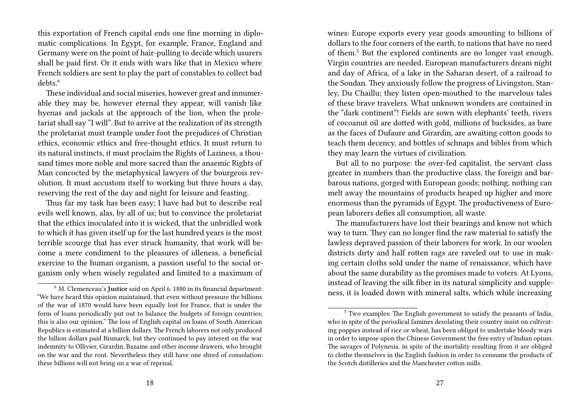this exportation of French capital ends one fine morning in diplomatic complications. In Egypt, for example, France, England and Germany were on the point of hair-pulling to decide which usurers shall be paid first. Or it ends with wars like that in Mexico where French soldiers are sent to play the part of constables to collect bad debts<sup>6</sup>

These individual and social miseries, however great and innumerable they may be, however eternal they appear, will vanish like hyenas and jackals at the approach of the lion, when the proletariat shall say "I will". But to arrive at the realization of its strength the proletariat must trample under foot the prejudices of Christian ethics, economic ethics and free-thought ethics. It must return to its natural instincts, it must proclaim the Rights of Laziness, a thousand times more noble and more sacred than the anaemic Rights of Man concocted by the metaphysical lawyers of the bourgeois revolution. It must accustom itself to working but three hours a day, reserving the rest of the day and night for leisure and feasting.

Thus far my task has been easy; I have had but to describe real evils well known, alas, by all of us; but to convince the proletariat that the ethics inoculated into it is wicked, that the unbridled work to which it has given itself up for the last hundred years is the most terrible scourge that has ever struck humanity, that work will become a mere condiment to the pleasures of idleness, a beneficial exercise to the human organism, a passion useful to the social organism only when wisely regulated and limited to a maximum of

wines: Europe exports every year goods amounting to billions of dollars to the four corners of the earth, to nations that have no need of them.<sup>5</sup> But the explored continents are no longer vast enough. Virgin countries are needed. European manufacturers dream night and day of Africa, of a lake in the Saharan desert, of a railroad to the Soudan. They anxiously follow the progress of Livingston, Stanley, Du Chaillu; they listen open-mouthed to the marvelous tales of these brave travelers. What unknown wonders are contained in the "dark continent"! Fields are sown with elephants' teeth, rivers of cocoanut oil are dotted with gold, millions of backsides, as bare as the faces of Dufaure and Girardin, are awaiting cotton goods to teach them decency, and bottles of schnaps and bibles from which they may learn the virtues of civilization.

But all to no purpose: the over-fed capitalist, the servant class greater in numbers than the productive class, the foreign and barbarous nations, gorged with European goods; nothing, nothing can melt away the mountains of products heaped up higher and more enormous than the pyramids of Egypt. The productiveness of European laborers defies all consumption, all waste.

The manufacturers have lost their bearings and know not which way to turn. They can no longer find the raw material to satisfy the lawless depraved passion of their laborers for work. In our woolen districts dirty and half rotten rags are raveled out to use in making certain cloths sold under the name of renaissance, which have about the same durability as the promises made to voters. At Lyons, instead of leaving the silk fiber in its natural simplicity and suppleness, it is loaded down with mineral salts, which while increasing

<sup>6</sup> M. Clemenceau's **Justice** said on April 6. 1880 in its financial department: "We have heard this opinion maintained, that even without pressure the billions of the war of 1870 would have been equally lost for France, that is under the form of loans periodically put out to balance the budgets of foreign countries; this is also our opinion." The loss of English capital on loans of South American Republics is estimated at a billion dollars. The French laborers not only produced the billion dollars paid Bismarck, but they continued to pay interest on the war indemnity to Ollivier, Girardin, Bazaine and other income drawers, who brought on the war and the rout. Nevertheless they still have one shred of consolation: these billions will not bring on a war of reprisal.

<sup>5</sup> Two examples: The English government to satisfy the peasants of India, who in spite of the periodical famines desolating their country insist on cultivating poppies instead of rice or wheat, has been obliged to undertake bloody wars in order to impose upon the Chinese Government the free entry of Indian opium. The savages of Polynesia. in spite of the mortality resulting from it are obliged to clothe themselves in the English fashion in order to consume the products of the Scotch distilleries and the Manchester cotton mills.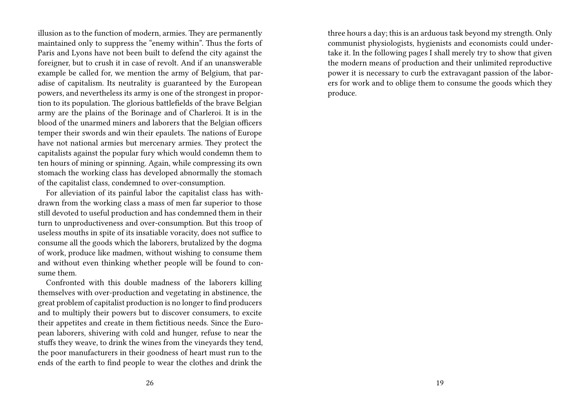illusion as to the function of modern, armies. They are permanently maintained only to suppress the "enemy within". Thus the forts of Paris and Lyons have not been built to defend the city against the foreigner, but to crush it in case of revolt. And if an unanswerable example be called for, we mention the army of Belgium, that paradise of capitalism. Its neutrality is guaranteed by the European powers, and nevertheless its army is one of the strongest in proportion to its population. The glorious battlefields of the brave Belgian army are the plains of the Borinage and of Charleroi. It is in the blood of the unarmed miners and laborers that the Belgian officers temper their swords and win their epaulets. The nations of Europe have not national armies but mercenary armies. They protect the capitalists against the popular fury which would condemn them to ten hours of mining or spinning. Again, while compressing its own stomach the working class has developed abnormally the stomach of the capitalist class, condemned to over-consumption.

For alleviation of its painful labor the capitalist class has withdrawn from the working class a mass of men far superior to those still devoted to useful production and has condemned them in their turn to unproductiveness and over-consumption. But this troop of useless mouths in spite of its insatiable voracity, does not suffice to consume all the goods which the laborers, brutalized by the dogma of work, produce like madmen, without wishing to consume them and without even thinking whether people will be found to consume them.

Confronted with this double madness of the laborers killing themselves with over-production and vegetating in abstinence, the great problem of capitalist production is no longer to find producers and to multiply their powers but to discover consumers, to excite their appetites and create in them fictitious needs. Since the European laborers, shivering with cold and hunger, refuse to near the stuffs they weave, to drink the wines from the vineyards they tend, the poor manufacturers in their goodness of heart must run to the ends of the earth to find people to wear the clothes and drink the

three hours a day; this is an arduous task beyond my strength. Only communist physiologists, hygienists and economists could undertake it. In the following pages I shall merely try to show that given the modern means of production and their unlimited reproductive power it is necessary to curb the extravagant passion of the laborers for work and to oblige them to consume the goods which they produce.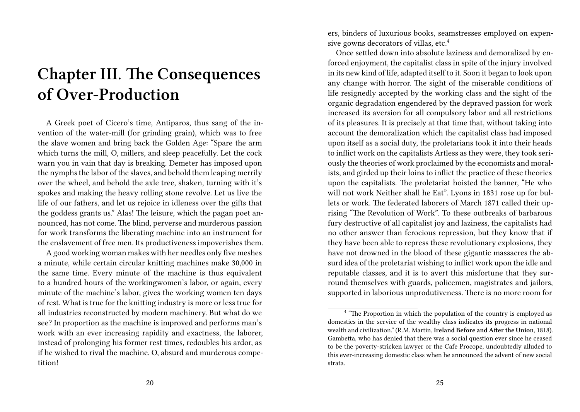### **Chapter III. The Consequences of Over-Production**

A Greek poet of Cicero's time, Antiparos, thus sang of the invention of the water-mill (for grinding grain), which was to free the slave women and bring back the Golden Age: "Spare the arm which turns the mill, O, millers, and sleep peacefully. Let the cock warn you in vain that day is breaking. Demeter has imposed upon the nymphs the labor of the slaves, and behold them leaping merrily over the wheel, and behold the axle tree, shaken, turning with it's spokes and making the heavy rolling stone revolve. Let us live the life of our fathers, and let us rejoice in idleness over the gifts that the goddess grants us." Alas! The leisure, which the pagan poet announced, has not come. The blind, perverse and murderous passion for work transforms the liberating machine into an instrument for the enslavement of free men. Its productiveness impoverishes them.

A good working woman makes with her needles only five meshes a minute, while certain circular knitting machines make 30,000 in the same time. Every minute of the machine is thus equivalent to a hundred hours of the workingwomen's labor, or again, every minute of the machine's labor, gives the working women ten days of rest. What is true for the knitting industry is more or less true for all industries reconstructed by modern machinery. But what do we see? In proportion as the machine is improved and performs man's work with an ever increasing rapidity and exactness, the laborer, instead of prolonging his former rest times, redoubles his ardor, as if he wished to rival the machine. O, absurd and murderous competition!

ers, binders of luxurious books, seamstresses employed on expensive gowns decorators of villas, etc.<sup>4</sup>

Once settled down into absolute laziness and demoralized by enforced enjoyment, the capitalist class in spite of the injury involved in its new kind of life, adapted itself to it. Soon it began to look upon any change with horror. The sight of the miserable conditions of life resignedly accepted by the working class and the sight of the organic degradation engendered by the depraved passion for work increased its aversion for all compulsory labor and all restrictions of its pleasures. It is precisely at that time that, without taking into account the demoralization which the capitalist class had imposed upon itself as a social duty, the proletarians took it into their heads to inflict work on the capitalists Artless as they were, they took seriously the theories of work proclaimed by the economists and moralists, and girded up their loins to inflict the practice of these theories upon the capitalists. The proletariat hoisted the banner, "He who will not work Neither shall he Eat". Lyons in 1831 rose up for bullets or work. The federated laborers of March 1871 called their uprising "The Revolution of Work". To these outbreaks of barbarous fury destructive of all capitalist joy and laziness, the capitalists had no other answer than ferocious repression, but they know that if they have been able to repress these revolutionary explosions, they have not drowned in the blood of these gigantic massacres the absurd idea of the proletariat wishing to inflict work upon the idle and reputable classes, and it is to avert this misfortune that they surround themselves with guards, policemen, magistrates and jailors, supported in laborious unprodutiveness. There is no more room for

<sup>&</sup>lt;sup>4</sup> "The Proportion in which the population of the country is employed as domestics in the service of the wealthy class indicates its progress in national wealth and civilization." (R.M. Martin, **Ireland Before and After the Union**, 1818). Gambetta, who has denied that there was a social question ever since he ceased to be the poverty-stricken lawyer or the Cafe Procope, undoubtedly alluded to this ever-increasing domestic class when he announced the advent of new social strata.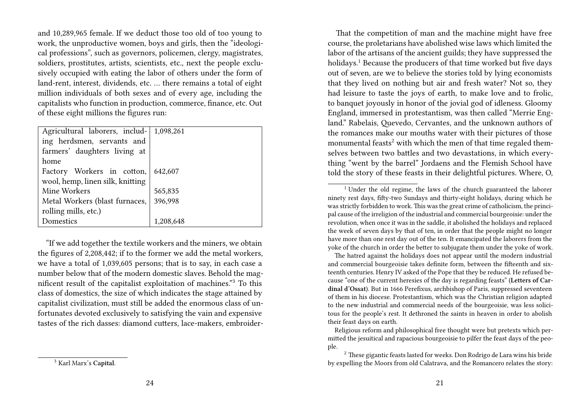and 10,289,965 female. If we deduct those too old of too young to work, the unproductive women, boys and girls, then the "ideological professions", such as governors, policemen, clergy, magistrates, soldiers, prostitutes, artists, scientists, etc., next the people exclusively occupied with eating the labor of others under the form of land-rent, interest, dividends, etc. … there remains a total of eight million individuals of both sexes and of every age, including the capitalists who function in production, commerce, finance, etc. Out of these eight millions the figures run:

| 1,098,261 |
|-----------|
|           |
|           |
|           |
| 642,607   |
|           |
| 565,835   |
| 396,998   |
|           |
| 1,208,648 |
|           |

"If we add together the textile workers and the miners, we obtain the figures of 2,208,442; if to the former we add the metal workers, we have a total of 1,039,605 persons; that is to say, in each case a number below that of the modern domestic slaves. Behold the magnificent result of the capitalist exploitation of machines."<sup>3</sup> To this class of domestics, the size of which indicates the stage attained by capitalist civilization, must still be added the enormous class of unfortunates devoted exclusively to satisfying the vain and expensive tastes of the rich dasses: diamond cutters, lace-makers, embroider-

<sup>3</sup> Karl Marx's **Capital**.

That the competition of man and the machine might have free course, the proletarians have abolished wise laws which limited the labor of the artisans of the ancient guilds; they have suppressed the holidays.<sup>1</sup> Because the producers of that time worked but five days out of seven, are we to believe the stories told by lying economists that they lived on nothing but air and fresh water? Not so, they had leisure to taste the joys of earth, to make love and to frolic, to banquet joyously in honor of the jovial god of idleness. Gloomy England, immersed in protestantism, was then called "Merrie England." Rabelais, Quevedo, Cervantes, and the unknown authors of the romances make our mouths water with their pictures of those monumental feasts<sup>2</sup> with which the men of that time regaled themselves between two battles and two devastations, in which everything "went by the barrel" Jordaens and the Flemish School have told the story of these feasts in their delightful pictures. Where, O,

The hatred against the holidays does not appear until the modern industrial and commercial bourgeoisie takes definite form, between the fifteenth and sixteenth centuries. Henry IV asked of the Pope that they be reduced. He refused because "one of the current heresies of the day is regarding feasts" (**Letters of Cardinal d'Ossat**). But in 1666 Perefixus, archbishop of Paris, suppressed seventeen of them in his diocese. Protestantism, which was the Christian religion adapted to the new industrial and commercial needs of the bourgeoisie, was less solicitous for the people's rest. It dethroned the saints in heaven in order to abolish their feast days on earth.

Religious reform and philosophical free thought were but pretexts which permitted the jesuitical and rapacious bourgeoisie to pilfer the feast days of the people.

<sup>2</sup> These gigantic feasts lasted for weeks. Don Rodrigo de Lara wins his bride by expelling the Moors from old Calatrava, and the Romancero relates the story:

 $1$ <sup>1</sup> Under the old regime, the laws of the church guaranteed the laborer ninety rest days, fifty-two Sundays and thirty-eight holidays, during which he was strictly forbidden to work. This was the great crime of catholicism, the principal cause of the irreligion of the industrial and commercial bourgeoisie: under the revolution, when once it was in the saddle, it abolished the holidays and replaced the week of seven days by that of ten, in order that the people might no longer have more than one rest day out of the ten. It emancipated the laborers from the yoke of the church in order the better to subjugate them under the yoke of work.